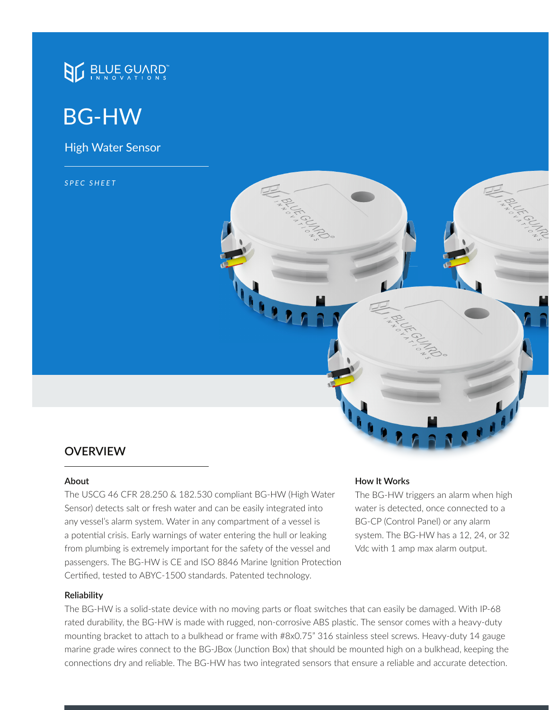

# BG-HW

High Water Sensor

*SPEC SHEET*

### **OVERVIEW**

#### **About**

The USCG 46 CFR 28.250 & 182.530 compliant BG-HW (High Water Sensor) detects salt or fresh water and can be easily integrated into any vessel's alarm system. Water in any compartment of a vessel is a potential crisis. Early warnings of water entering the hull or leaking from plumbing is extremely important for the safety of the vessel and passengers. The BG-HW is CE and ISO 8846 Marine Ignition Protection Certified, tested to ABYC-1500 standards. Patented technology.

#### **Reliability**

The BG-HW is a solid-state device with no moving parts or float switches that can easily be damaged. With IP-68 rated durability, the BG-HW is made with rugged, non-corrosive ABS plastic. The sensor comes with a heavy-duty mounting bracket to attach to a bulkhead or frame with #8x0.75" 316 stainless steel screws. Heavy-duty 14 gauge marine grade wires connect to the BG-JBox (Junction Box) that should be mounted high on a bulkhead, keeping the connections dry and reliable. The BG-HW has two integrated sensors that ensure a reliable and accurate detection.

#### **How It Works**

The BG-HW triggers an alarm when high water is detected, once connected to a BG-CP (Control Panel) or any alarm system. The BG-HW has a 12, 24, or 32 Vdc with 1 amp max alarm output.